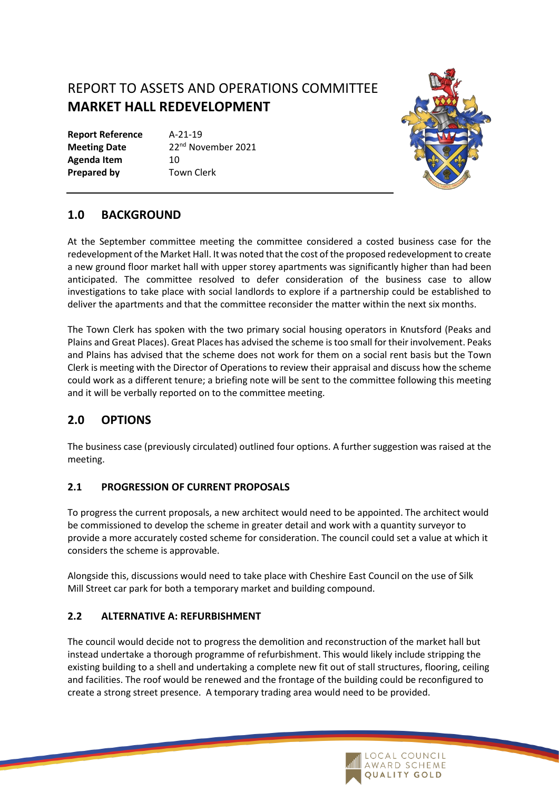# REPORT TO ASSETS AND OPERATIONS COMMITTEE **MARKET HALL REDEVELOPMENT**

**Report Reference** A-21-19 **Meeting Date** 22<sup>nd</sup> November 2021 Agenda Item 10 **Prepared by Town Clerk** 



# **1.0 BACKGROUND**

At the September committee meeting the committee considered a costed business case for the redevelopment of the Market Hall. It was noted that the cost of the proposed redevelopment to create a new ground floor market hall with upper storey apartments was significantly higher than had been anticipated. The committee resolved to defer consideration of the business case to allow investigations to take place with social landlords to explore if a partnership could be established to deliver the apartments and that the committee reconsider the matter within the next six months.

The Town Clerk has spoken with the two primary social housing operators in Knutsford (Peaks and Plains and Great Places). Great Places has advised the scheme is too small for their involvement. Peaks and Plains has advised that the scheme does not work for them on a social rent basis but the Town Clerk is meeting with the Director of Operations to review their appraisal and discuss how the scheme could work as a different tenure; a briefing note will be sent to the committee following this meeting and it will be verbally reported on to the committee meeting.

# **2.0 OPTIONS**

The business case (previously circulated) outlined four options. A further suggestion was raised at the meeting.

# **2.1 PROGRESSION OF CURRENT PROPOSALS**

To progress the current proposals, a new architect would need to be appointed. The architect would be commissioned to develop the scheme in greater detail and work with a quantity surveyor to provide a more accurately costed scheme for consideration. The council could set a value at which it considers the scheme is approvable.

Alongside this, discussions would need to take place with Cheshire East Council on the use of Silk Mill Street car park for both a temporary market and building compound.

# **2.2 ALTERNATIVE A: REFURBISHMENT**

The council would decide not to progress the demolition and reconstruction of the market hall but instead undertake a thorough programme of refurbishment. This would likely include stripping the existing building to a shell and undertaking a complete new fit out of stall structures, flooring, ceiling and facilities. The roof would be renewed and the frontage of the building could be reconfigured to create a strong street presence. A temporary trading area would need to be provided.

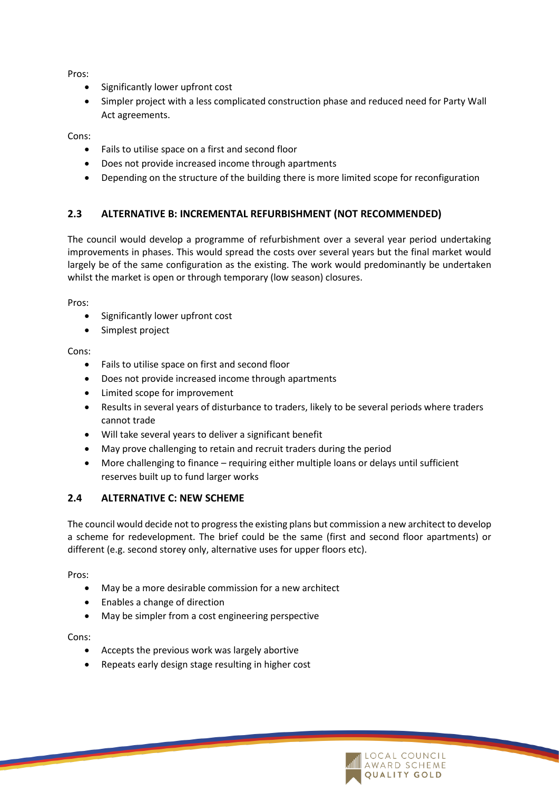Pros:

- Significantly lower upfront cost
- Simpler project with a less complicated construction phase and reduced need for Party Wall Act agreements.

Cons:

- Fails to utilise space on a first and second floor
- Does not provide increased income through apartments
- Depending on the structure of the building there is more limited scope for reconfiguration

#### **2.3 ALTERNATIVE B: INCREMENTAL REFURBISHMENT (NOT RECOMMENDED)**

The council would develop a programme of refurbishment over a several year period undertaking improvements in phases. This would spread the costs over several years but the final market would largely be of the same configuration as the existing. The work would predominantly be undertaken whilst the market is open or through temporary (low season) closures.

Pros:

- Significantly lower upfront cost
- Simplest project

#### Cons:

- Fails to utilise space on first and second floor
- Does not provide increased income through apartments
- Limited scope for improvement
- Results in several years of disturbance to traders, likely to be several periods where traders cannot trade
- Will take several years to deliver a significant benefit
- May prove challenging to retain and recruit traders during the period
- More challenging to finance requiring either multiple loans or delays until sufficient reserves built up to fund larger works

#### **2.4 ALTERNATIVE C: NEW SCHEME**

The council would decide not to progress the existing plans but commission a new architect to develop a scheme for redevelopment. The brief could be the same (first and second floor apartments) or different (e.g. second storey only, alternative uses for upper floors etc).

Pros:

- May be a more desirable commission for a new architect
- Enables a change of direction
- May be simpler from a cost engineering perspective

Cons:

- Accepts the previous work was largely abortive
- Repeats early design stage resulting in higher cost